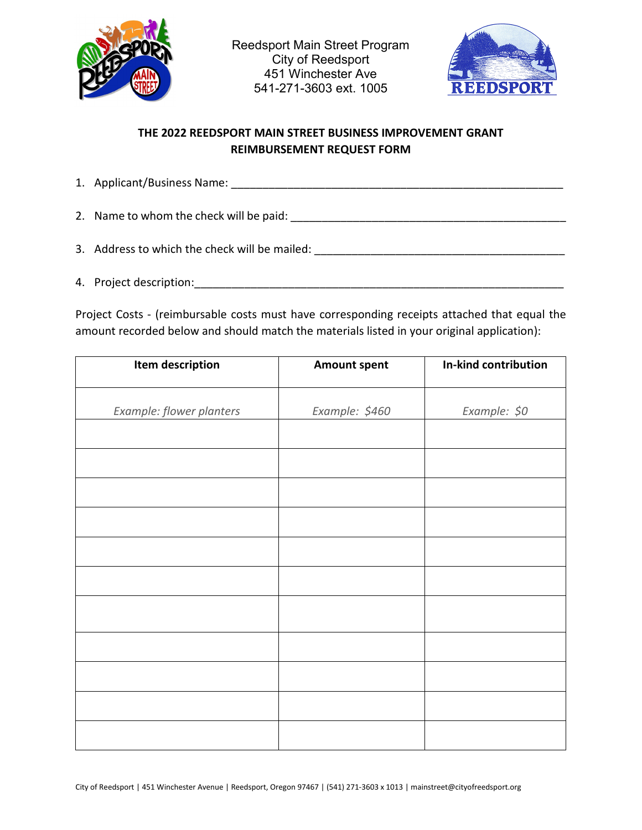



## **THE 2022 REEDSPORT MAIN STREET BUSINESS IMPROVEMENT GRANT REIMBURSEMENT REQUEST FORM**

1. Applicant/Business Name: \_\_\_\_\_\_\_\_\_\_\_\_\_\_\_\_\_\_\_\_\_\_\_\_\_\_\_\_\_\_\_\_\_\_\_\_\_\_\_\_\_\_\_\_\_\_\_\_\_\_\_\_\_

2. Name to whom the check will be paid: \_\_\_\_\_\_\_\_\_\_\_\_\_\_\_\_\_\_\_\_\_\_\_\_\_\_\_\_\_\_\_\_\_\_\_\_\_\_\_\_\_\_\_\_

- 3. Address to which the check will be mailed: \_\_\_\_\_\_\_\_\_\_\_\_\_\_\_\_\_\_\_\_\_\_\_\_\_\_\_\_\_\_\_\_\_\_
- 4. Project description:\_\_\_\_\_\_\_\_\_\_\_\_\_\_\_\_\_\_\_\_\_\_\_\_\_\_\_\_\_\_\_\_\_\_\_\_\_\_\_\_\_\_\_\_\_\_\_\_\_\_\_\_\_\_\_\_\_\_\_

Project Costs - (reimbursable costs must have corresponding receipts attached that equal the amount recorded below and should match the materials listed in your original application):

| Item description         | <b>Amount spent</b> | In-kind contribution |
|--------------------------|---------------------|----------------------|
|                          |                     |                      |
| Example: flower planters | Example: \$460      | Example: \$0         |
|                          |                     |                      |
|                          |                     |                      |
|                          |                     |                      |
|                          |                     |                      |
|                          |                     |                      |
|                          |                     |                      |
|                          |                     |                      |
|                          |                     |                      |
|                          |                     |                      |
|                          |                     |                      |
|                          |                     |                      |